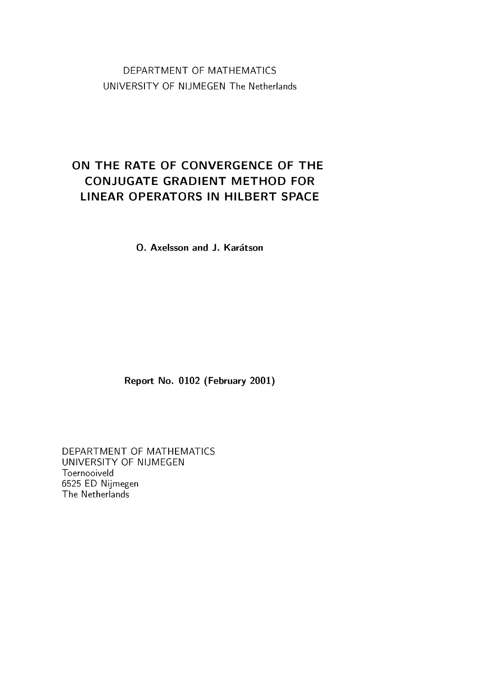DEPARTMENT OF MATHEMATICS UNIVERSITY OF NIJMEGEN The Netherlands

## **ON THE RATE OF CONVERGENCE OF THE CONJUGATE GRADIENT METHOD FOR LINEAR OPERATORS IN HILBERT SPACE**

**O. Axelsson and J. Karatson**

**Report No. 0102 (February 2001)**

DEPARTMENT OF MATHEMATICS UNIVERSITY OF NIJMEGEN Toernooiveld 6525 ED Nijmegen The Netherlands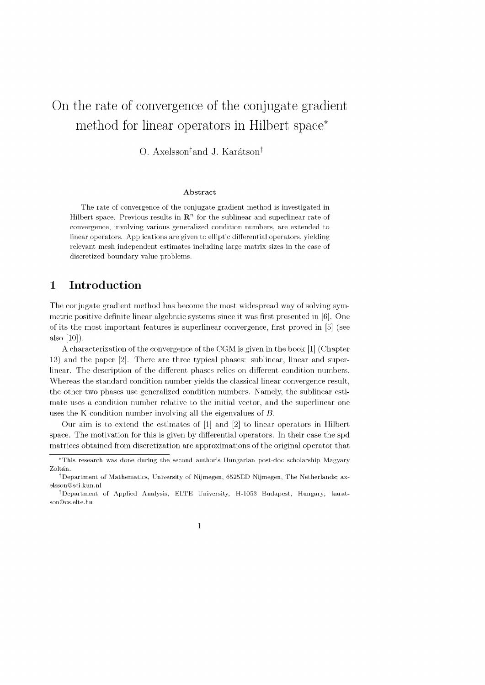# On the rate of convergence of the conjugate gradient method for linear operators in Hilbert space\*

O. Axelsson<sup>†</sup>and J. Karátson<sup>‡</sup>

#### **Abstract**

The rate of convergence of the conjugate gradient method is investigated in Hilbert space. Previous results in  $\mathbb{R}^n$  for the sublinear and superlinear rate of convergence, involving various generalized condition numbers, are extended to linear operators. Applications are given to elliptic differential operators, yielding relevant mesh independent estimates including large matrix sizes in the case of discretized boundary value problems.

## **1 Introduction**

The conjugate gradient method has become the most widespread way of solving symmetric positive definite linear algebraic systems since it was first presented in [6]. One of its the most im portant features is superlinear convergence, first proved in [5] (see also [10]).

A characterization of the convergence of the CGM is given in the book [1] (Chapter 13) and the paper [2]. There are three typical phases: sublinear, linear and superlinear. The description of the different phases relies on different condition numbers. Whereas the standard condition number yields the classical linear convergence result, the other two phases use generalized condition numbers. Namely, the sublinear estimate uses a condition number relative to the initial vector, and the superlinear one uses the K-condition number involving all the eigenvalues of B.

Our aim is to extend the estimates of [1] and [2] to linear operators in Hilbert space. The motivation for this is given by differential operators. In their case the spd matrices obtained from discretization are approximations of the original operator that

<sup>\*</sup>This research was done during the second author's Hungarian post-doc scholarship Magyary Zoltán.

<sup>&</sup>lt;sup>†</sup>Department of Mathematics, University of Nijmegen, 6525ED Nijmegen, The Netherlands; ax[elsson@ sci.kun.nl](mailto:elsson@sci.kun.nl)

<sup>^</sup>D epartm ent of Applied Analysis, ELTE University, H-1053 B udapest, H ungary; karatson@cs.elte.hu

<sup>1</sup>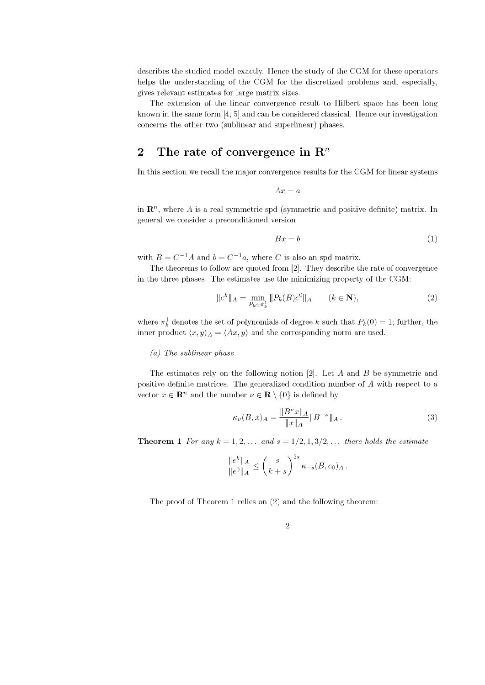describes the studied model exactly. Hence the study of the CGM for these operators helps the understanding of the CGM for the discretized problems and, especially, gives relevant estimates for large matrix sizes.

The extension of the linear convergence result to Hilbert space has been long known in the same form [4, 5] and can be considered classical. Hence our investigation concerns the other two (sublinear and superlinear) phases.

## 2 The rate of convergence in  $\mathbb{R}^n$

In this section we recall the major convergence results for the CGM for linear systems

$$
Ax = a
$$

in  $\mathbb{R}^n$ , where A is a real symmetric spd (symmetric and positive definite) matrix. In general we consider a preconditioned version

$$
Bx = b \tag{1}
$$

with  $B = C^{-1}A$  and  $b = C^{-1}a$ , where C is also an spd matrix.

The theorems to follow are quoted from [2]. They describe the rate of convergence in the three phases. The estimates use the minimizing property of the CGM:

$$
||e^{k}||_{A} = \min_{P_{k} \in \pi_{k}^{1}} ||P_{k}(B)e^{0}||_{A} \qquad (k \in \mathbf{N}),
$$
\n(2)

where  $\pi_k^1$  denotes the set of polynomials of degree k such that  $P_k(0) = 1$ ; further, the inner product  $\langle x, y \rangle_A = \langle Ax, y \rangle$  and the corresponding norm are used.

### *(a) The sublinear phase*

The estimates rely on the following notion  $[2]$ . Let A and B be symmetric and positive definite matrices. The generalized condition number of A with respect to a vector  $x \in \mathbb{R}^n$  and the number  $\nu \in \mathbb{R} \setminus \{0\}$  is defined by

$$
\kappa_{\nu}(B,x)_A = \frac{\|B^{\nu}x\|_A}{\|x\|_A} \|B^{-\nu}\|_A.
$$
\n(3)

**Theorem 1** *For any*  $k = 1, 2, \ldots$  *and*  $s = 1/2, 1, 3/2, \ldots$  *there holds the estimate* 

$$
\frac{\|e^k\|_A}{\|e^0\|_A} \le \left(\frac{s}{k+s}\right)^{2s} \kappa_{-s}(B, e_0)_A.
$$

The proof of Theorem 1 relies on (2) and the following theorem: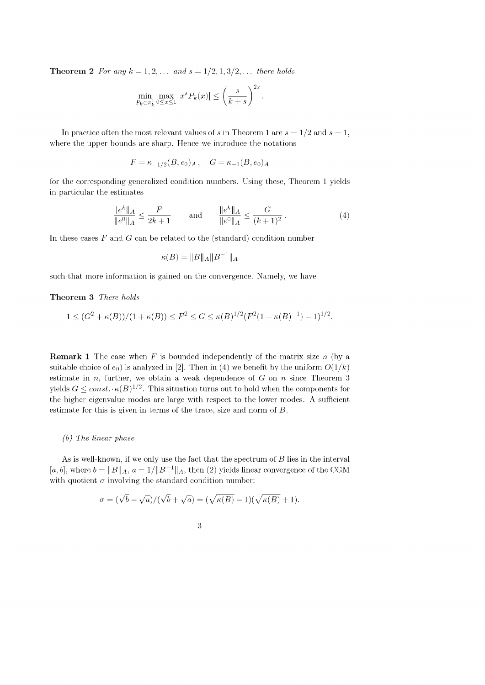**Theorem 2** *For any*  $k = 1, 2, ...$  *and*  $s = 1/2, 1, 3/2, ...$  *there holds* 

$$
\min_{P_k \in \pi_k^1} \max_{0 \le x \le 1} |x^s P_k(x)| \le \left(\frac{s}{k+s}\right)^{2s}.
$$

In practice often the most relevant values of s in Theorem 1 are  $s = 1/2$  and  $s = 1$ , where the upper bounds are sharp. Hence we introduce the notations

$$
F = \kappa_{-1/2}(B, e_0)_A \,, \quad G = \kappa_{-1}(B, e_0)_A
$$

for the corresponding generalized condition numbers. Using these, Theorem 1 yields in particular the estimates

$$
\frac{\|e^k\|_A}{\|e^0\|_A} \le \frac{F}{2k+1} \quad \text{and} \quad \frac{\|e^k\|_A}{\|e^0\|_A} \le \frac{G}{(k+1)^2}.
$$
 (4)

In these cases  $F$  and  $G$  can be related to the (standard) condition number

$$
\kappa(B) = \|B\|_A \|B^{-1}\|_A
$$

such that more information is gained on the convergence. Namely, we have

#### **Theorem 3** *There holds*

$$
1 \le (G^2 + \kappa(B))/(1 + \kappa(B)) \le F^2 \le G \le \kappa(B)^{1/2}(F^2(1 + \kappa(B)^{-1}) - 1)^{1/2}.
$$

**Remark 1** The case when F is bounded independently of the matrix size n (by a suitable choice of  $e_0$ ) is analyzed in [2]. Then in (4) we benefit by the uniform  $O(1/k)$ estimate in  $n$ , further, we obtain a weak dependence of  $G$  on  $n$  since Theorem 3 yields  $G \leq const. \cdot \kappa(B)^{1/2}$ . This situation turns out to hold when the components for the higher eigenvalue modes are large with respect to the lower modes. A sufficient estimate for this is given in terms of the trace, size and norm of B.

#### *(b) The linear phase*

As is well-known, if we only use the fact that the spectrum of  $B$  lies in the interval [a, b], where  $b = ||B||_A$ ,  $a = 1/||B^{-1}||_A$ , then (2) yields linear convergence of the CGM with quotient  $\sigma$  involving the standard condition number:

$$
\sigma = (\sqrt{b} - \sqrt{a})/(\sqrt{b} + \sqrt{a}) = (\sqrt{\kappa(B)} - 1)(\sqrt{\kappa(B)} + 1).
$$

| ۰,<br>× |
|---------|
| Ξ<br>I  |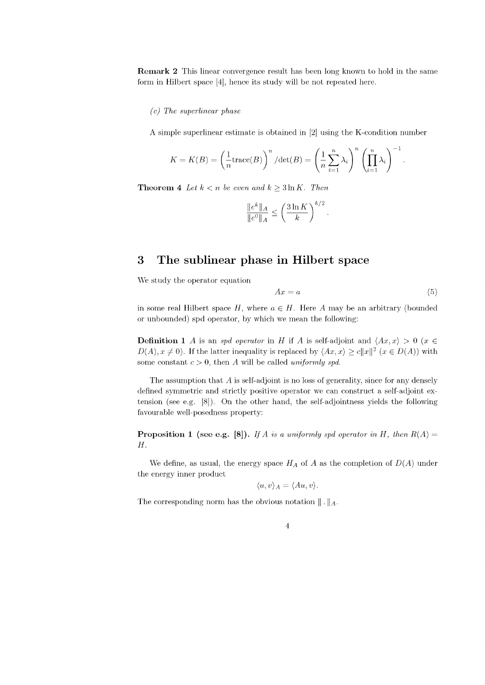**Remark 2** This linear convergence result has been long known to hold in the same form in Hilbert space [4], hence its study will be not repeated here.

#### *(c) The superlinear phase*

A simple superlinear estimate is obtained in [2] using the K-condition number

$$
K = K(B) = \left(\frac{1}{n} \text{trace}(B)\right)^n / \text{det}(B) = \left(\frac{1}{n} \sum_{i=1}^n \lambda_i\right)^n \left(\prod_{i=1}^n \lambda_i\right)^{-1}.
$$

**Theorem 4** *Let*  $k < n$  *be even and*  $k \geq 3 \ln K$ *. Then* 

$$
\frac{\|e^k\|_A}{\|e^0\|_A} \le \left(\frac{3\ln K}{k}\right)^{k/2}.
$$

## **3** The sublinear phase in Hilbert space

We study the operator equation

$$
Ax = a \tag{5}
$$

in some real Hilbert space  $H$ , where  $a \in H$ . Here A may be an arbitrary (bounded or unbounded) spd operator, by which we mean the following:

**Definition 1** A is an *spd operator* in H if A is self-adjoint and  $\langle Ax, x \rangle > 0$  (x  $\in$  $D(A), x \neq 0$ . If the latter inequality is replaced by  $\langle Ax, x \rangle \geq c||x||^2$   $(x \in D(A))$  with some constant  $c > 0$ , then A will be called *uniformly spd*.

The assumption that  $A$  is self-adjoint is no loss of generality, since for any densely defined symmetric and strictly positive operator we can construct a self-adjoint extension (see e.g. [8]). On the other hand, the self-adjointness yields the following favourable well-posedness property:

**Proposition 1** (see e.g. [8]). *If* A *is a uniformly spd operator in* H, then  $R(A) =$  $H$ .

We define, as usual, the energy space  $H_A$  of A as the completion of  $D(A)$  under the energy inner product

$$
\langle u, v \rangle_A = \langle Au, v \rangle.
$$

The corresponding norm has the obvious notation  $\|\cdot\|_A$ .

$$
4\phantom{.0}
$$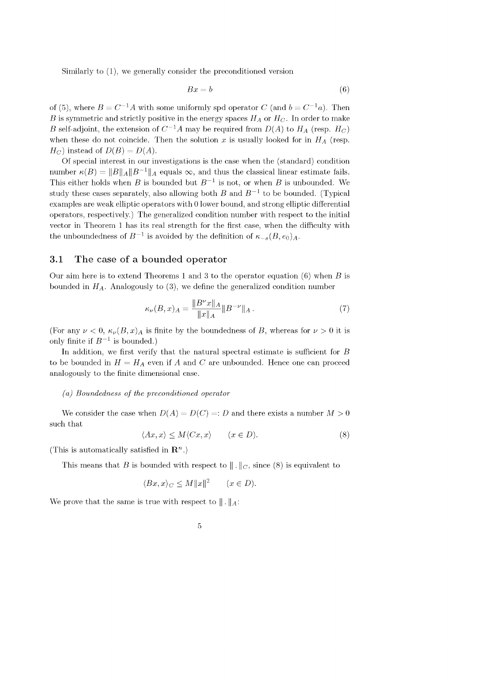Similarly to (1), we generally consider the preconditioned version

$$
Bx = b \tag{6}
$$

of (5), where  $B = C^{-1}A$  with some uniformly spd operator C (and  $b = C^{-1}a$ ). Then B is symmetric and strictly positive in the energy spaces  $H_A$  or  $H_C$ . In order to make B self-adjoint, the extension of  $C^{-1}A$  may be required from  $D(A)$  to  $H_A$  (resp.  $H_C$ ) when these do not coincide. Then the solution x is usually looked for in  $H_A$  (resp.  $H_C$ ) instead of  $D(B) = D(A)$ .

Of special interest in our investigations is the case when the (standard) condition number  $\kappa(B) = ||B||_A ||B^{-1}||_A$  equals  $\infty$ , and thus the classical linear estimate fails. This either holds when B is bounded but  $B^{-1}$  is not, or when B is unbounded. We study these cases separately, also allowing both B and  $B^{-1}$  to be bounded. (Typical examples are weak elliptic operators with 0 lower bound, and strong elliptic differential operators, respectively.) The generalized condition number with respect to the initial vector in Theorem 1 has its real strength for the first case, when the difficulty with the unboundedness of  $B^{-1}$  is avoided by the definition of  $\kappa_{-s}(B, \epsilon_0)_A$ .

## 3.1 The case of a bounded operator

Our aim here is to extend Theorems 1 and 3 to the operator equation  $(6)$  when B is bounded in  $H_A$ . Analogously to (3), we define the generalized condition number

$$
\kappa_{\nu}(B,x)_A = \frac{\|B^{\nu}x\|_A}{\|x\|_A} \|B^{-\nu}\|_A.
$$
\n(7)

(For any  $\nu < 0$ ,  $\kappa_{\nu}(B, x)$  is finite by the boundedness of B, whereas for  $\nu > 0$  it is only finite if  $B^{-1}$  is bounded.)

In addition, we first verify that the natural spectral estimate is sufficient for  $B$ to be bounded in  $H = H_A$  even if A and C are unbounded. Hence one can proceed analogously to the finite dimensional case.

#### *(a) Boundedness of the preconditioned operator*

We consider the case when  $D(A) = D(C) =: D$  and there exists a number  $M > 0$ such that

$$
\langle Ax, x \rangle \le M \langle Cx, x \rangle \qquad (x \in D). \tag{8}
$$

(This is automatically satisfied in  $\mathbb{R}^n$ .)

This means that B is bounded with respect to  $\|\cdot\|_C$ , since (8) is equivalent to

$$
\langle Bx, x \rangle_C \le M ||x||^2 \qquad (x \in D).
$$

We prove that the same is true with respect to  $\| \cdot \|_A$ :

$$
\phantom{0}5
$$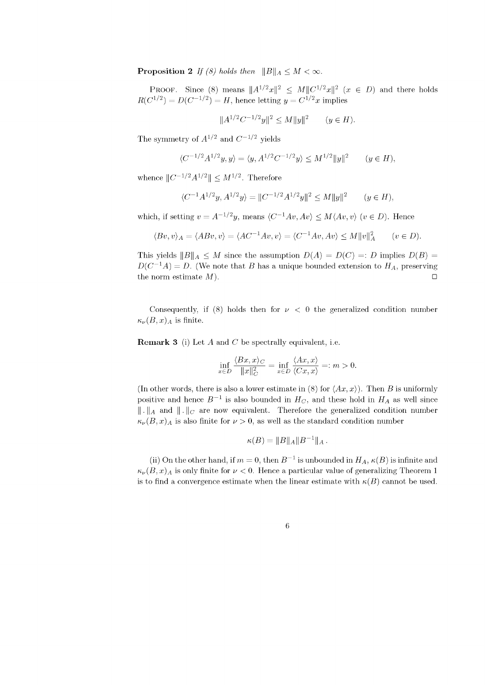**Proposition 2** *If (8) holds then*  $||B||_A \leq M < \infty$ .

PROOF. Since (8) means  $||A^{1/2}x||^2 \leq M||C^{1/2}x||^2$   $(x \in D)$  and there holds  $R(C^{1/2}) = D(C^{-1/2}) = H$ , hence letting  $y = C^{1/2}x$  implies

$$
||A^{1/2}C^{-1/2}y||^2 \le M||y||^2 \qquad (y \in H).
$$

The symmetry of  $A^{1/2}$  and  $C^{-1/2}$  yields

$$
\langle C^{-1/2} A^{1/2} y, y \rangle = \langle y, A^{1/2} C^{-1/2} y \rangle \le M^{1/2} \|y\|^2 \qquad (y \in H),
$$

whence  $||C^{-1/2}A^{1/2}|| \leq M^{1/2}$ . Therefore

$$
\langle C^{-1}A^{1/2}y, A^{1/2}y \rangle = ||C^{-1/2}A^{1/2}y||^2 \le M||y||^2 \qquad (y \in H),
$$

which, if setting  $v = A^{-1/2}y$ , means  $\langle C^{-1}Av, Av \rangle \leq M \langle Av, v \rangle$   $(v \in D)$ . Hence

$$
\langle Bv, v \rangle_A = \langle ABv, v \rangle = \langle AC^{-1}Av, v \rangle = \langle C^{-1}Av, Av \rangle \le M ||v||_A^2 \qquad (v \in D).
$$

This yields  $||B||_A < M$  since the assumption  $D(A) = D(C) =: D$  implies  $D(B) =$  $D(C^{-1}A) = D$ . (We note that B has a unique bounded extension to  $H_A$ , preserving the norm estimate  $M$ ).

Consequently, if (8) holds then for  $\nu < 0$  the generalized condition number  $\kappa_{\nu}(B, x)_{A}$  is finite.

**Remark 3** (i) Let A and C be spectrally equivalent, i.e.

$$
\inf_{x \in D} \frac{\langle Bx, x \rangle_C}{\|x\|_C^2} = \inf_{x \in D} \frac{\langle Ax, x \rangle}{\langle Cx, x \rangle} =: m > 0.
$$

(In other words, there is also a lower estimate in (8) for  $\langle Ax, x \rangle$ ). Then B is uniformly positive and hence  $B^{-1}$  is also bounded in  $H_C$ , and these hold in  $H_A$  as well since  $|| \cdot ||_A$  and  $|| \cdot ||_C$  are now equivalent. Therefore the generalized condition number  $\kappa_{\nu}(B, x)$ <sub>A</sub> is also finite for  $\nu > 0$ , as well as the standard condition number

$$
\kappa(B) = ||B||_A ||B^{-1}||_A.
$$

(ii) On the other hand, if  $m = 0$ , then  $B^{-1}$  is unbounded in  $H_A$ ,  $\kappa(B)$  is infinite and  $\kappa_{\nu}(B, x)$ <sub>A</sub> is only finite for  $\nu < 0$ . Hence a particular value of generalizing Theorem 1 is to find a convergence estimate when the linear estimate with  $\kappa(B)$  cannot be used.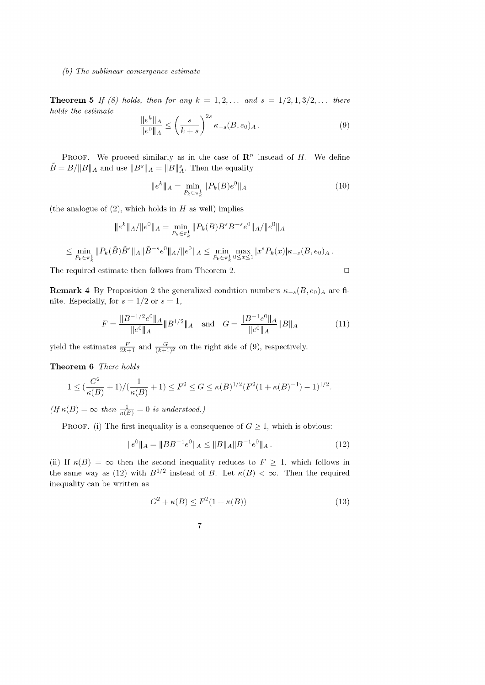#### *(b) The sublinear convergence estimate*

**Theorem 5** *If (8) holds, then for any*  $k = 1, 2, ...$  *and*  $s = 1/2, 1, 3/2, ...$  *there holds the estimate*

$$
\frac{\|e^k\|_A}{\|e^0\|_A} \le \left(\frac{s}{k+s}\right)^{2s} \kappa_{-s}(B, e_0)_A. \tag{9}
$$

PROOF. We proceed similarly as in the case of  $\mathbb{R}^n$  instead of H. We define  $\tilde{B} = B / ||B||_A$  and use  $||B^s||_A = ||B||_A^s$ . Then the equality

$$
||e^k||_A = \min_{P_k \in \pi_k^1} ||P_k(B)e^0||_A \tag{10}
$$

(the analogue of  $(2)$ , which holds in H as well) implies

$$
||e^{k}||_{A}/||e^{0}||_{A} = \min_{P_{k} \in \pi_{k}^{1}} ||P_{k}(B)B^{s}B^{-s}e^{0}||_{A}/||e^{0}||_{A}
$$
  

$$
\leq \min_{P_{k} \in \pi_{k}^{1}} ||P_{k}(\tilde{B})\tilde{B}^{s}||_{A}||\tilde{B}^{-s}e^{0}||_{A}/||e^{0}||_{A} \leq \min_{P_{k} \in \pi_{k}^{1}} \max_{0 \leq x \leq 1} |x^{s}P_{k}(x)|\kappa_{-s}(B, e_{0})_{A}.
$$

The required estimate then follows from Theorem 2.  $\Box$ 

**Remark 4** By Proposition 2 the generalized condition numbers  $\kappa_{-s}(B, e_0)_A$  are finite. Especially, for  $s = 1/2$  or  $s = 1$ ,

$$
F = \frac{\|B^{-1/2}e^{0}\|A}{\|e^{0}\|A}\|B^{1/2}\|A \quad \text{and} \quad G = \frac{\|B^{-1}e^{0}\|A}{\|e^{0}\|A}\|B\|A \tag{11}
$$

yield the estimates  $\frac{F}{2k+1}$  and  $\frac{G}{(k+1)^2}$  on the right side of (9), respectively.

Theorem 6 There holds

$$
1 \leq \left(\frac{G^2}{\kappa(B)} + 1\right) / \left(\frac{1}{\kappa(B)} + 1\right) \leq F^2 \leq G \leq \kappa(B)^{1/2} (F^2 (1 + \kappa(B)^{-1}) - 1)^{1/2}.
$$

 $(f f \kappa(B) = \infty$  *then*  $\frac{1}{\kappa(B)} = 0$  *is understood.*)

PROOF. (i) The first inequality is a consequence of  $G \geq 1$ , which is obvious:

$$
\|e^{0}\|_{A} = \|BB^{-1}e^{0}\|_{A} \le \|B\|_{A} \|B^{-1}e^{0}\|_{A}.
$$
\n(12)

(ii) If  $\kappa(B) = \infty$  then the second inequality reduces to  $F \geq 1$ , which follows in the same way as (12) with  $B^{1/2}$  instead of B. Let  $\kappa(B) < \infty$ . Then the required inequality can be written as

$$
G2 + \kappa(B) \le F2(1 + \kappa(B)).
$$
\n(13)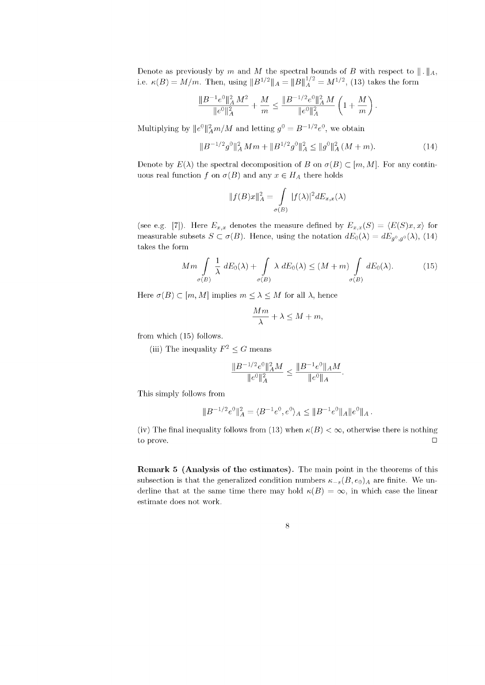Denote as previously by m and M the spectral bounds of B with respect to  $\|\cdot\|_A$ , i.e.  $\kappa(B) = M/m$ . Then, using  $||B^{1/2}||_A = ||B||_A^{1/2} = M^{1/2}$ , (13) takes the form

$$
\frac{\|B^{-1}e^{0}\|_A^2 M^2}{\|e^{0}\|_A^2} + \frac{M}{m} \le \frac{\|B^{-1/2}e^{0}\|_A^2 M}{\|e^{0}\|_A^2} \left(1 + \frac{M}{m}\right).
$$

Multiplying by  $||e^{0}||^{2}_{A}m/M$  and letting  $g^{0} = B^{-1/2}e^{0}$ , we obtain

$$
||B^{-1/2}g^{0}||_{A}^{2}Mm + ||B^{1/2}g^{0}||_{A}^{2} \le ||g^{0}||_{A}^{2}(M+m).
$$
 (14)

Denote by  $E(\lambda)$  the spectral decomposition of B on  $\sigma(B) \subset [m, M]$ . For any continuous real function f on  $\sigma(B)$  and any  $x \in H_A$  there holds

$$
||f(B)x||_A^2 = \int\limits_{\sigma(B)} |f(\lambda)|^2 dE_{x,x}(\lambda)
$$

(see e.g. [7]). Here  $E_{x,x}$  denotes the measure defined by  $E_{x,x}(S) = \langle E(S)x, x \rangle$  for measurable subsets  $S \subset \sigma(B)$ . Hence, using the notation  $dE_0(\lambda) = dE_{g^0, g^0}(\lambda)$ , (14) takes the form

$$
Mm \int_{\sigma(B)} \frac{1}{\lambda} dE_0(\lambda) + \int_{\sigma(B)} \lambda dE_0(\lambda) \le (M+m) \int_{\sigma(B)} dE_0(\lambda).
$$
 (15)

Here  $\sigma(B) \subset [m, M]$  implies  $m \leq \lambda \leq M$  for all  $\lambda$ , hence

$$
\frac{Mm}{\lambda} + \lambda \le M + m,
$$

from which (15) follows.

(iii) The inequality  $F^2 \leq G$  means

$$
\frac{\|B^{-1/2}e^0\|_A^2 M}{\|e^0\|_A^2} \le \frac{\|B^{-1}e^0\|_A M}{\|e^0\|_A}.
$$

This simply follows from

$$
||B^{-1/2}e^{0}||_{A}^{2} = \langle B^{-1}e^{0}, e^{0}\rangle_{A} \leq ||B^{-1}e^{0}||_{A}||e^{0}||_{A}.
$$

(iv) The final inequality follows from (13) when  $\kappa(B) < \infty$ , otherwise there is nothing to prove. □

Remark 5 (Analysis of the estimates). The main point in the theorems of this subsection is that the generalized condition numbers  $\kappa_{-s}(B, e_0)_A$  are finite. We underline that at the same time there may hold  $\kappa(B) = \infty$ , in which case the linear estimate does not work.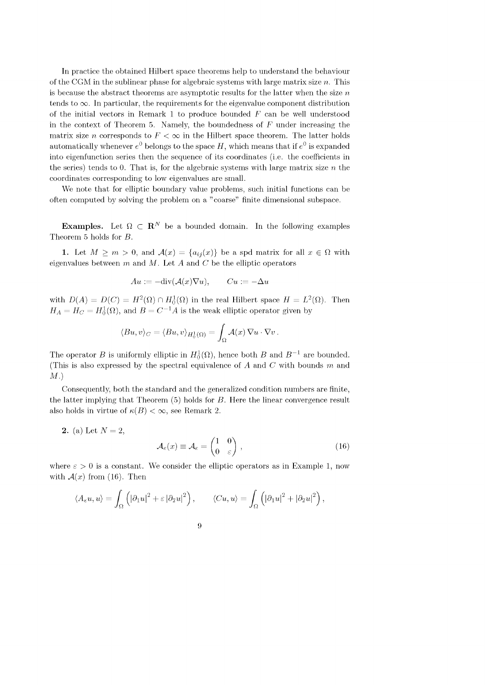In practice the obtained Hilbert space theorems help to understand the behaviour of the CGM in the sublinear phase for algebraic systems with large matrix size  $n$ . This is because the abstract theorems are asymptotic results for the latter when the size  $n$ tends to  $\infty$ . In particular, the requirements for the eigenvalue component distribution of the initial vectors in Remark 1 to produce bounded  $F$  can be well understood in the context of Theorem 5. Namely, the boundedness of  $F$  under increasing the matrix size *n* corresponds to  $F < \infty$  in the Hilbert space theorem. The latter holds automatically whenever  $e^0$  belongs to the space H, which means that if  $e^0$  is expanded into eigenfunction series then the sequence of its coordinates (i.e. the coefficients in the series) tends to 0. That is, for the algebraic systems with large matrix size  $n$  the coordinates corresponding to low eigenvalues are small.

We note that for elliptic boundary value problems, such initial functions can be often computed by solving the problem on a "coarse" finite dimensional subspace.

**Examples.** Let  $\Omega \subset \mathbb{R}^N$  be a bounded domain. In the following examples Theorem 5 holds for B.

1. Let  $M \geq m > 0$ , and  $\mathcal{A}(x) = \{a_{ij}(x)\}\$ be a spd matrix for all  $x \in \Omega$  with eigenvalues between  $m$  and  $M$ . Let  $A$  and  $C$  be the elliptic operators

$$
Au := -\text{div}(\mathcal{A}(x)\nabla u), \qquad Cu := -\Delta u
$$

with  $D(A) = D(C) = H^2(\Omega) \cap H_0^1(\Omega)$  in the real Hilbert space  $H = L^2(\Omega)$ . Then  $H_A = H_C = H_0^1(\Omega)$ , and  $B = C^{-1}A$  is the weak elliptic operator given by

$$
\langle Bu, v \rangle_C = \langle Bu, v \rangle_{H_0^1(\Omega)} = \int_{\Omega} \mathcal{A}(x) \nabla u \cdot \nabla v.
$$

The operator B is uniformly elliptic in  $H_0^1(\Omega)$ , hence both B and  $B^{-1}$  are bounded. (This is also expressed by the spectral equivalence of A and C with bounds m and M.)

Consequently, both the standard and the generalized condition numbers are finite, the latter implying that Theorem (5) holds for B. Here the linear convergence result also holds in virtue of  $\kappa(B) < \infty$ , see Remark 2.

**2.** (a) Let  $N = 2$ ,

$$
\mathcal{A}_{\varepsilon}(x) \equiv \mathcal{A}_{\varepsilon} = \begin{pmatrix} 1 & 0 \\ 0 & \varepsilon \end{pmatrix},\tag{16}
$$

where  $\varepsilon > 0$  is a constant. We consider the elliptic operators as in Example 1, now with  $\mathcal{A}(x)$  from (16). Then

$$
\langle A_{\varepsilon} u, u \rangle = \int_{\Omega} \left( |\partial_1 u|^2 + \varepsilon |\partial_2 u|^2 \right), \qquad \langle C u, u \rangle = \int_{\Omega} \left( |\partial_1 u|^2 + |\partial_2 u|^2 \right),
$$

$$
9\phantom{.0}
$$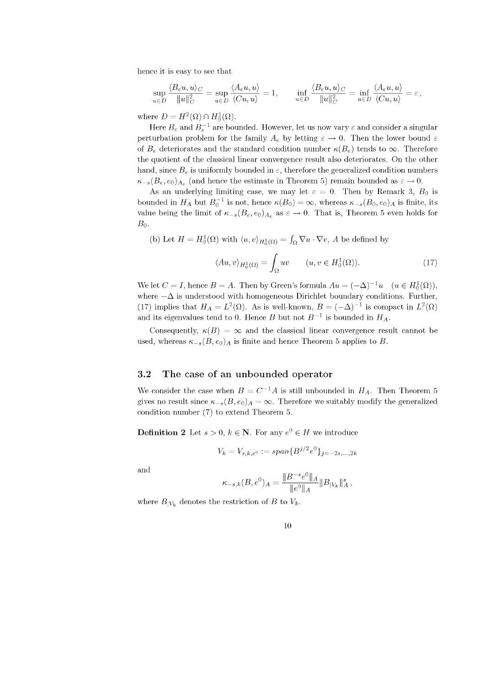hence it is easy to see that

$$
\sup_{u\in D} \frac{\langle B_\varepsilon u, u\rangle_C}{\|u\|_C^2} = \sup_{u\in D} \frac{\langle A_\varepsilon u, u\rangle}{\langle Cu, u\rangle} = 1, \qquad \inf_{u\in D} \frac{\langle B_\varepsilon u, u\rangle_C}{\|u\|_C^2} = \inf_{u\in D} \frac{\langle A_\varepsilon u, u\rangle}{\langle Cu, u\rangle} = \varepsilon,
$$

where  $D = H^2(\Omega) \cap H_0^1(\Omega)$ .

Here  $B_{\varepsilon}$  and  $B_{\varepsilon}^{-1}$  are bounded. However, let us now vary  $\varepsilon$  and consider a singular perturbation problem for the family  $A_{\varepsilon}$  by letting  $\varepsilon \to 0$ . Then the lower bound  $\varepsilon$ of  $B_{\varepsilon}$  deteriorates and the standard condition number  $\kappa(B_{\varepsilon})$  tends to  $\infty$ . Therefore the quotient of the classical linear convergence result also deteriorates. On the other hand, since  $B_{\varepsilon}$  is uniformly bounded in  $\varepsilon$ , therefore the generalized condition numbers  $\kappa_{-s}(B_{\varepsilon}, e_0)_{A_{\varepsilon}}$  (and hence the estimate in Theorem 5) remain bounded as  $\varepsilon \to 0$ .

As an underlying limiting case, we may let  $\varepsilon = 0$ . Then by Remark 3,  $B_0$  is bounded in  $H_A$  but  $B_0^{-1}$  is not, hence  $\kappa(B_0) = \infty$ , whereas  $\kappa_{-s} (B_0, e_0)_A$  is finite, its value being the limit of  $\kappa_{-s}(B_{\varepsilon}, e_0)_{A_{\varepsilon}}$  as  $\varepsilon \to 0$ . That is, Theorem 5 even holds for  $B_0$ .

(b) Let  $H = H_0^1(\Omega)$  with  $\langle u, v \rangle_{H_0^1(\Omega)} = \int_{\Omega} \nabla u \cdot \nabla v$ , A be defined by

$$
\langle Au, v \rangle_{H_0^1(\Omega)} = \int_{\Omega} uv \qquad (u, v \in H_0^1(\Omega)). \tag{17}
$$

We let  $C = I$ , hence  $B = A$ . Then by Green's formula  $Au = (-\Delta)^{-1}u \quad (u \in H_0^1(\Omega)),$ where  $-\Delta$  is understood with homogeneous Dirichlet boundary conditions. Further, and its eigenvalues tend to 0. Hence B but not  $B^{-1}$  is bounded in  $H_A$ . (17) implies that  $H_A = L^2(\Omega)$ . As is well-known,  $B = (-\Delta)^{-1}$  is compact in  $L^2(\Omega)$ 

Consequently,  $\kappa(B) = \infty$  and the classical linear convergence result cannot be used, whereas  $\kappa_{-s}(B, e_0)_A$  is finite and hence Theorem 5 applies to B.

## 3.2 The case of an unbounded operator

gives no result since  $\kappa_{-s}(B, e_0)_A = \infty$ . Therefore we suitably modify the generalized condition number (7) to extend Theorem 5. We consider the case when  $B = C^{-1}A$  is still unbounded in  $H_A$ . Then Theorem 5

**Definition 2** Let  $s > 0$ ,  $k \in \mathbb{N}$ . For any  $e^0 \in H$  we introduce

$$
V_k = V_{s,k,e^0} := span\{B^{j/2}e^0\}_{j=-2s,...,2k}
$$

and

$$
\kappa_{-s,k}(B,e^0)_A = \frac{\|B^{-s}e^0\|_A}{\|e^0\|_A} \|B_{|V_k}\|_A^s,
$$

where  $B_{|V_k}$  denotes the restriction of B to  $V_k$ .

| ۰. |
|----|
|    |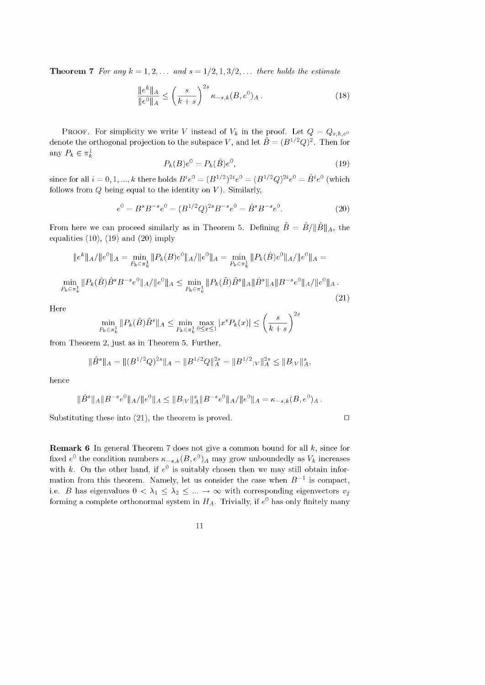**Theorem 7** *For any*  $k = 1, 2, \ldots$  *and*  $s = 1/2, 1, 3/2, \ldots$  *there holds the estimate* 

$$
\frac{\|e^k\|_A}{\|e^0\|_A} \le \left(\frac{s}{k+s}\right)^{2s} \kappa_{-s,k}(B, e^0)_A. \tag{18}
$$

PROOF. For simplicity we write V instead of  $V_k$  in the proof. Let  $Q = Q_{s,k,e^0}$ denote the orthogonal projection to the subspace V, and let  $\hat{B} = (B^{1/2}Q)^2$ . Then for any  $P_k \in \pi_k^1$ 

$$
P_k(B)e^0 = P_k(\hat{B})e^0,\tag{19}
$$

since for all  $i = 0, 1, ..., k$  there holds  $B^i e^0 = (B^{1/2})^{2i} e^0 = (B^{1/2} Q)^{2i} e^0 = \hat{B}^i e^0$  (which follows from  $Q$  being equal to the identity on  $V$ ). Similarly,

$$
e^{0} = B^{s} B^{-s} e^{0} = (B^{1/2} Q)^{2s} B^{-s} e^{0} = \hat{B}^{s} B^{-s} e^{0}.
$$
 (20)

From here we can proceed similarly as in Theorem 5. Defining  $\tilde{B} = \hat{B}/||\hat{B}||_A$ , the equalities  $(10)$ ,  $(19)$  and  $(20)$  imply

$$
\|e^{k}\|_{A}/\|e^{0}\|_{A} = \min_{P_{k}\in\pi_{k}^{1}} \|P_{k}(B)e^{0}\|_{A}/\|e^{0}\|_{A} = \min_{P_{k}\in\pi_{k}^{1}} \|P_{k}(\hat{B})e^{0}\|_{A}/\|e^{0}\|_{A} =
$$
  

$$
\min_{P_{k}\in\pi_{k}^{1}} \|P_{k}(\hat{B})\hat{B}^{s}B^{-s}e^{0}\|_{A}/\|e^{0}\|_{A} \le \min_{P_{k}\in\pi_{k}^{1}} \|P_{k}(\tilde{B})\tilde{B}^{s}\|_{A}\|\hat{B}^{s}\|_{A}\|B^{-s}e^{0}\|_{A}/\|e^{0}\|_{A}.
$$
\n(21)

Here  

$$
\min_{P_k \in \pi_k^1} \|P_k(\tilde{B})\tilde{B}^s\|_A \le \min_{P_k \in \pi_k^1} \max_{0 \le x \le 1} |x^s P_k(x)| \le \left(\frac{s}{k+s}\right)^{2s}
$$

from Theorem 2, just as in Theorem 5. Further,

$$
\|\hat{B}^s\|_A = \|(B^{1/2}Q)^{2s}\|_A = \|B^{1/2}Q\|_A^{2s} = \|B^{1/2}{}_{|V}\|_A^{2s} \le \|B_{|V}\|_A^s,
$$

hence

$$
\|\hat{B}^s\|_A\|B^{-s}e^0\|_A/\|e^0\|_A\leq \|B_{|V}\|_A^s\|B^{-s}e^0\|_A/\|e^0\|_A=\kappa_{-s,k}(B,e^0)_A.
$$

Substituting these into (21), the theorem is proved.

 $\Box$ 

**Remark 6** In general Theorem 7 does not give a common bound for all  $k$ , since for fixed  $e^0$  the condition numbers  $\kappa_{-s,k}(B, e^0)_A$  may grow unboundedly as  $V_k$  increases with k. On the other hand, if  $e^0$  is suitably chosen then we may still obtain information from this theorem. Namely, let us consider the case when  $B^{-1}$  is compact, i.e. B has eigenvalues  $0 < \lambda_1 \leq \lambda_2 \leq ... \rightarrow \infty$  with corresponding eigenvectors  $v_j$ forming a complete orthonormal system in  $H_A$ . Trivially, if  $e^0$  has only finitely many

11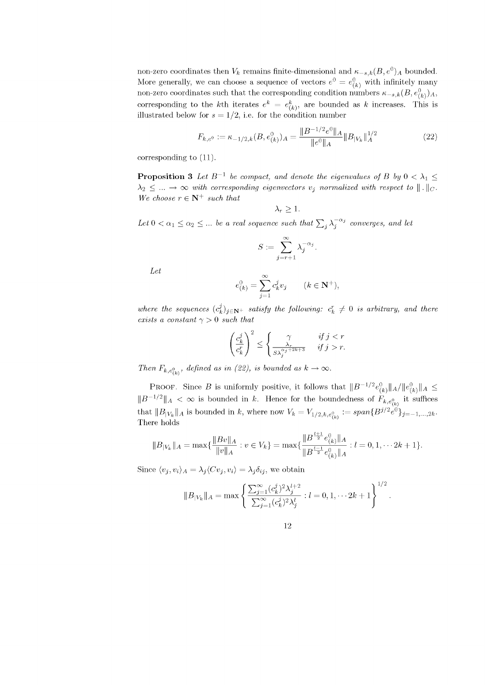non-zero coordinates then  $V_k$  remains finite-dimensional and  $\kappa_{-s,k}(B, e^0)_A$  bounded. More generally, we can choose a sequence of vectors  $e^0 = e^0_{(k)}$  with infinitely many non-zero coordinates such that the corresponding condition numbers  $\kappa_{-s,k}(B, e_{(k)}^0)$ <sub>A</sub>, corresponding to the kth iterates  $e^k = e^k_{(k)}$ , are bounded as k increases. This is illustrated below for  $s = 1/2$ , i.e. for the condition number

$$
F_{k,e^0} := \kappa_{-1/2,k}(B, e^0_{(k)})_A = \frac{\|B^{-1/2}e^0\|_A}{\|e^0\|_A} \|B_{|V_k}\|_A^{1/2}
$$
(22)

corresponding to (11).

**Proposition 3** Let  $B^{-1}$  be compact, and denote the eigenvalues of B by  $0 < \lambda_1 \le$  $\lambda_2 \leq ... \to \infty$  with corresponding eigenvectors  $v_j$  normalized with respect to  $|| \cdot ||_C$ . *We choose*  $r \in \mathbb{N}^+$  *such that* 

$$
\lambda_r \geq 1.
$$

Let  $0 < \alpha_1 \leq \alpha_2 \leq ...$  be a real sequence such that  $\sum_j \lambda_j^{-\alpha_j}$  converges, and let

$$
S := \sum_{j=r+1}^{\infty} \lambda_j^{-\alpha_j}.
$$

*Let*

$$
e^0_{(k)} = \sum_{j=1}^{\infty} c^j_k v_j \qquad (k \in \mathbf{N}^+),
$$

*where the sequences*  $(c_k^j)_{j \in \mathbb{N}^+}$  *satisfy the following:*  $c_k^r \neq 0$  *is arbitrary, and there exists a constant*  $\gamma > 0$  *such that* 

$$
\left(\frac{c_k^j}{c_k^r}\right)^2 \le \begin{cases} \gamma & \text{if } j < r\\ \frac{\lambda_r}{S\lambda_j^{\alpha_j+2k+3}} & \text{if } j > r. \end{cases}
$$

*Then*  $F_{k, e_{\ell k}^0}$ *, defined as in (22), is bounded as*  $k \to \infty$ *.* 

PROOF. Since B is uniformly positive, it follows that  $||B^{-1/2}e_{(k)}^0||_A/||e_{(k)}^0||_A \leq$  $||B^{-1/2}||_A < \infty$  is bounded in k. Hence for the boundedness of  $F_{k, e_{(k)}^0}$  it suffices that  $||B_{|V_k}||_A$  is bounded in k, where now  $V_k = V_{1/2,k,e_{l_k}^0} := span\{B^{j/2}e^{0}\}_{j=-1,\ldots,2k}$ . There holds

$$
||B_{|V_k}||_A = \max\{\frac{||Bv||_A}{||v||_A} : v \in V_k\} = \max\{\frac{||B^{\frac{l+1}{2}}e_{(k)}^0||_A}{||B^{\frac{l-1}{2}}e_{(k)}^0||_A} : l = 0, 1, \dots 2k+1\}.
$$

Since  $\langle v_i, v_i \rangle_A = \lambda_i \langle C v_i, v_i \rangle = \lambda_i \delta_{ij}$ , we obtain

$$
||B_{|V_k}||_A = \max \left\{ \frac{\sum_{j=1}^{\infty} (c_k^j)^2 \lambda_j^{l+2}}{\sum_{j=1}^{\infty} (c_k^j)^2 \lambda_j^{l}} : l = 0, 1, \cdots 2k+1 \right\}^{1/2}.
$$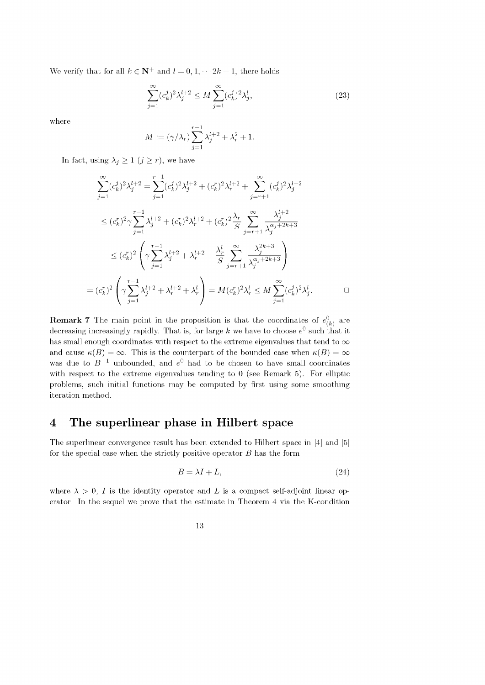We verify that for all  $k \in \mathbb{N}^+$  and  $l = 0, 1, \dots 2k + 1$ , there holds

$$
\sum_{j=1}^{\infty} (c_k^j)^2 \lambda_j^{l+2} \le M \sum_{j=1}^{\infty} (c_k^j)^2 \lambda_j^l,
$$
\n(23)

where

 $\frac{1}{2}$ 

$$
M:=(\gamma/\lambda_r)\sum_{j=1}^{r-1}\lambda_j^{l+2}+\lambda_r^2+1.
$$

In fact, using  $\lambda_j \geq 1$   $(j \geq r)$ , we have

$$
\sum_{j=1}^{\infty} (c_k^j)^2 \lambda_j^{l+2} = \sum_{j=1}^{r-1} (c_k^j)^2 \lambda_j^{l+2} + (c_k^r)^2 \lambda_r^{l+2} + \sum_{j=r+1}^{\infty} (c_k^j)^2 \lambda_j^{l+2}
$$
  

$$
\leq (c_k^r)^2 \gamma \sum_{j=1}^{r-1} \lambda_j^{l+2} + (c_k^r)^2 \lambda_r^{l+2} + (c_k^r)^2 \frac{\lambda_r}{S} \sum_{j=r+1}^{\infty} \frac{\lambda_j^{l+2}}{\lambda_j^{\alpha_j+2k+3}}
$$
  

$$
\leq (c_k^r)^2 \left( \gamma \sum_{j=1}^{r-1} \lambda_j^{l+2} + \lambda_r^{l+2} + \frac{\lambda_r^l}{S} \sum_{j=r+1}^{\infty} \frac{\lambda_j^{2k+3}}{\lambda_j^{\alpha_j+2k+3}} \right)
$$
  

$$
= (c_k^r)^2 \left( \gamma \sum_{j=1}^{r-1} \lambda_j^{l+2} + \lambda_r^{l+2} + \lambda_r^l \right) = M(c_k^r)^2 \lambda_r^l \leq M \sum_{j=1}^{\infty} (c_k^j)^2 \lambda_j^l.
$$

**Remark 7** The main point in the proposition is that the coordinates of  $e^{0}_{(k)}$  are decreasing increasingly rapidly. That is, for large k we have to choose  $e^0$  such that it has small enough coordinates with respect to the extreme eigenvalues that tend to  $\infty$ and cause  $\kappa(B) = \infty$ . This is the counterpart of the bounded case when  $\kappa(B) = \infty$ was due to  $B^{-1}$  unbounded, and  $e^{0}$  had to be chosen to have small coordinates with respect to the extreme eigenvalues tending to 0 (see Remark 5). For elliptic problems, such initial functions may be computed by first using some smoothing iteration method.

## **4** The superlinear phase in Hilbert space

The superlinear convergence result has been extended to Hilbert space in [4] and [5] for the special case when the strictly positive operator  $B$  has the form

$$
B = \lambda I + L,\tag{24}
$$

where  $\lambda > 0$ , I is the identity operator and L is a compact self-adjoint linear operator. In the sequel we prove that the estimate in Theorem 4 via the K-condition

13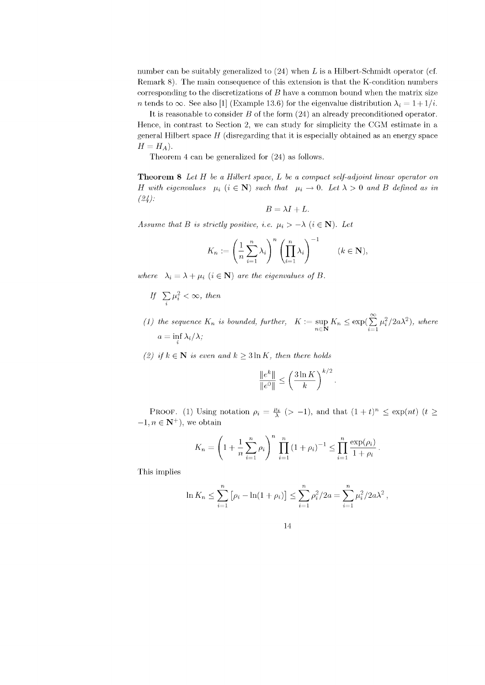number can be suitably generalized to  $(24)$  when L is a Hilbert-Schmidt operator (cf. Remark 8). The main consequence of this extension is that the K-condition numbers corresponding to the discretizations of  $B$  have a common bound when the matrix size n tends to  $\infty$ . See also [1] (Example 13.6) for the eigenvalue distribution  $\lambda_i = 1 + 1/i$ .

It is reasonable to consider B of the form (24) an already preconditioned operator. Hence, in contrast to Section 2, we can study for simplicity the CGM estimate in a general Hilbert space  $H$  (disregarding that it is especially obtained as an energy space  $H = H_A$ ).

Theorem 4 can be generalized for (24) as follows.

Theorem 8 *Let* H *be a Hilbert space*, *L be a compact self-adjoint linear operator on* H with eigenvalues  $\mu_i$  ( $i \in \mathbb{N}$ ) such that  $\mu_i \to 0$ . Let  $\lambda > 0$  and B defined as in *(24):*

$$
B=\lambda I+L.
$$

*Assume that B is strictly positive, i.e.*  $\mu_i > -\lambda$  ( $i \in \mathbb{N}$ ). Let

$$
K_n := \left(\frac{1}{n}\sum_{i=1}^n \lambda_i\right)^n \left(\prod_{i=1}^n \lambda_i\right)^{-1} \qquad (k \in \mathbf{N}),
$$

*where*  $\lambda_i = \lambda + \mu_i$  ( $i \in \mathbb{N}$ ) *are the eigenvalues of B.* 

- *If*  $\sum_i \mu_i^2 < \infty$ , then
- *(1) the sequence*  $K_n$  *is bounded, further,*  $K := \sup K_n \leq \exp(\sum \mu_i^2/2a\lambda^2)$ , where  $n \in \mathbf{N}$   $\sum_{i=1}^{n}$  $a = \inf_i \lambda_i / \lambda;$
- (2) if  $k \in \mathbb{N}$  is even and  $k \geq 3 \ln K$ , then there holds

$$
\frac{\|e^k\|}{\|e^0\|} \le \left(\frac{3\ln K}{k}\right)^{k/2}
$$

PROOF. (1) Using notation  $\rho_i = \frac{\mu_i}{\lambda}$  (> -1), and that  $(1 + t)^n \leq \exp(nt)$  (t  $\geq$  $-1, n \in \mathbb{N}^+$ , we obtain

$$
K_n = \left(1 + \frac{1}{n} \sum_{i=1}^n \rho_i\right)^n \prod_{i=1}^n (1 + \rho_i)^{-1} \le \prod_{i=1}^n \frac{\exp(\rho_i)}{1 + \rho_i}.
$$

This implies

$$
\ln K_n \leq \sum_{i=1}^n \left[ \rho_i - \ln(1 + \rho_i) \right] \leq \sum_{i=1}^n \rho_i^2 / 2a = \sum_{i=1}^n \mu_i^2 / 2a\lambda^2,
$$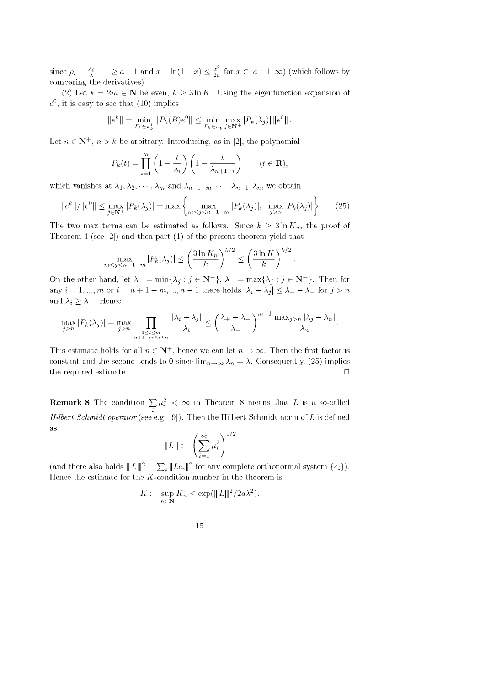since  $\rho_i = \frac{\lambda_i}{\lambda} - 1 \ge a - 1$  and  $x - \ln(1 + x) \le \frac{x^2}{2a}$  for  $x \in [a - 1, \infty)$  (which follows by comparing the derivatives).

(2) Let  $k = 2m \in \mathbb{N}$  be even,  $k \geq 3 \ln K$ . Using the eigenfunction expansion of  $e^0$ , it is easy to see that (10) implies

$$
||e^k|| = \min_{P_k \in \pi_k^1} ||P_k(B)e^0|| \le \min_{P_k \in \pi_k^1} \max_{j \in \mathbf{N}^+} |P_k(\lambda_j)| ||e^0||.
$$

Let  $n \in \mathbb{N}^+$ ,  $n > k$  be arbitrary. Introducing, as in [2], the polynomial

$$
P_k(t) = \prod_{i=1}^m \left(1 - \frac{t}{\lambda_i}\right) \left(1 - \frac{t}{\lambda_{n+1-i}}\right) \qquad (t \in \mathbf{R}),
$$

which vanishes at  $\lambda_1, \lambda_2, \cdots, \lambda_m$  and  $\lambda_{n+1-m}, \cdots, \lambda_{n-1}, \lambda_n$ , we obtain

$$
\|e^{k}\|/\|e^{0}\| \le \max_{j \in \mathbf{N}^{+}} |P_{k}(\lambda_{j})| = \max\left\{\max_{m < j < n+1-m} |P_{k}(\lambda_{j})|, \ \max_{j > n} |P_{k}(\lambda_{j})|\right\}.\tag{25}
$$

The two max terms can be estimated as follows. Since  $k \geq 3 \ln K_n$ , the proof of Theorem 4 (see [2]) and then part (1) of the present theorem yield that

$$
\max_{m < j < n+1-m} |P_k(\lambda_j)| \le \left(\frac{3\ln K_n}{k}\right)^{k/2} \le \left(\frac{3\ln K}{k}\right)^{k/2}
$$

On the other hand, let  $\lambda_{-} = \min{\{\lambda_j : j \in \mathbb{N}^+\}}$ ,  $\lambda_{+} = \max{\{\lambda_j : j \in \mathbb{N}^+\}}$ . Then for any  $i = 1, ..., m$  or  $i = n + 1 - m, ..., n - 1$  there holds  $|\lambda_i - \lambda_j| \leq \lambda_+ - \lambda_-$  for  $j > n$ and  $\lambda_i \geq \lambda_{-}$ . Hence

$$
\max_{j>n} |P_k(\lambda_j)| = \max_{j>n} \prod_{\substack{1 \le i \le m \\ n+1-m \le i \le n}} \frac{|\lambda_i - \lambda_j|}{\lambda_i} \le \left(\frac{\lambda_+ - \lambda_-}{\lambda_-}\right)^{m-1} \frac{\max_{j>n} |\lambda_j - \lambda_n|}{\lambda_n}
$$

This estimate holds for all  $n \in \mathbb{N}^+$ , hence we can let  $n \to \infty$ . Then the first factor is constant and the second tends to 0 since  $\lim_{n\to\infty} \lambda_n = \lambda$ . Consequently, (25) implies the required estimate. □

**Remark 8** The condition  $\sum \mu_i^2 < \infty$  in Theorem 8 means that L is a so-called i *Hilbert-Schmidt operator* (see e.g. [9]). Then the Hilbert-Schmidt norm of L is defined as  $( \infty )^{-1/2}$ 

$$
\|L\|:=\left(\sum_{i=1}^\infty \mu_i^2\right)^{1/2}
$$

(and there also holds  $||L||_2^2 = \sum_i ||Le_i||^2$  for any complete orthonormal system  ${e_i}$ ). Hence the estimate for the  $K$ -condition number in the theorem is

$$
K := \sup_{n \in \mathbf{N}} K_n \le \exp(\|L\|^2 / 2a\lambda^2).
$$

| ۹      |
|--------|
| ٦<br>٧ |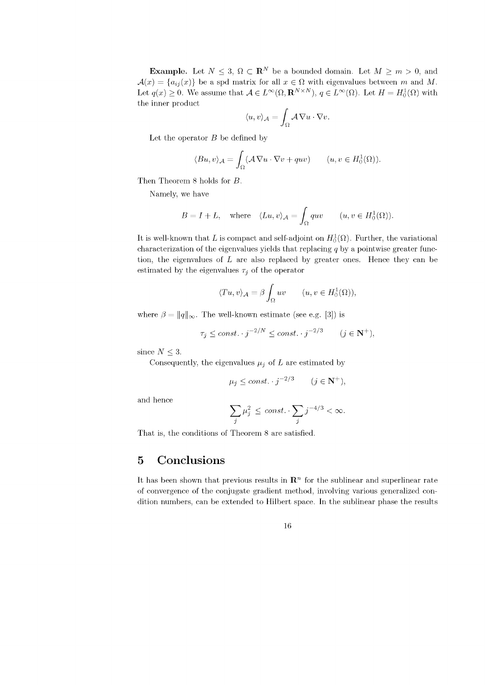**Example.** Let  $N \leq 3$ ,  $\Omega \subset \mathbb{R}^N$  be a bounded domain. Let  $M \geq m > 0$ , and  $\mathcal{A}(x) = \{a_{ij}(x)\}\$ be a spd matrix for all  $x \in \Omega$  with eigenvalues between m and M. Let  $q(x) \geq 0$ . We assume that  $A \in L^{\infty}(\Omega, \mathbf{R}^{N \times N})$ ,  $q \in L^{\infty}(\Omega)$ . Let  $H = H_0^1(\Omega)$  with the inner product

$$
\langle u, v \rangle_{\mathcal{A}} = \int_{\Omega} \mathcal{A} \nabla u \cdot \nabla v.
$$

Let the operator  $B$  be defined by

$$
\langle Bu, v \rangle_{\mathcal{A}} = \int_{\Omega} (\mathcal{A} \nabla u \cdot \nabla v + quv) \qquad (u, v \in H_0^1(\Omega)).
$$

Then Theorem 8 holds for B.

Namely, we have

$$
B = I + L, \quad \text{where} \quad \langle Lu, v \rangle_{\mathcal{A}} = \int_{\Omega} quv \qquad (u, v \in H_0^1(\Omega)).
$$

It is well-known that L is compact and self-adjoint on  $H_0^1(\Omega)$ . Further, the variational characterization of the eigenvalues yields that replacing  $q$  by a pointwise greater function, the eigenvalues of  $L$  are also replaced by greater ones. Hence they can be estimated by the eigenvalues  $\tau_j$  of the operator

$$
\langle Tu, v \rangle_{\mathcal{A}} = \beta \int_{\Omega} uv \qquad (u, v \in H_0^1(\Omega)),
$$

where  $\beta = ||q||_{\infty}$ . The well-known estimate (see e.g. [3]) is

$$
\tau_j \le const. \cdot j^{-2/N} \le const. \cdot j^{-2/3} \qquad (j \in \mathbf{N}^+).
$$

since  $N \leq 3$ .

Consequently, the eigenvalues  $\mu_j$  of L are estimated by

$$
\mu_j \le const. \cdot j^{-2/3} \qquad (j \in \mathbf{N}^+),
$$

and hence

$$
\sum_j \mu_j^2 \ \leq \ const. \cdot \sum_j j^{-4/3} < \infty.
$$

That is, the conditions of Theorem 8 are satisfied.

## **5 C onclusions**

It has been shown that previous results in  $\mathbb{R}^n$  for the sublinear and superlinear rate of convergence of the conjugate gradient method, involving various generalized condition numbers, can be extended to Hilbert space. In the sublinear phase the results